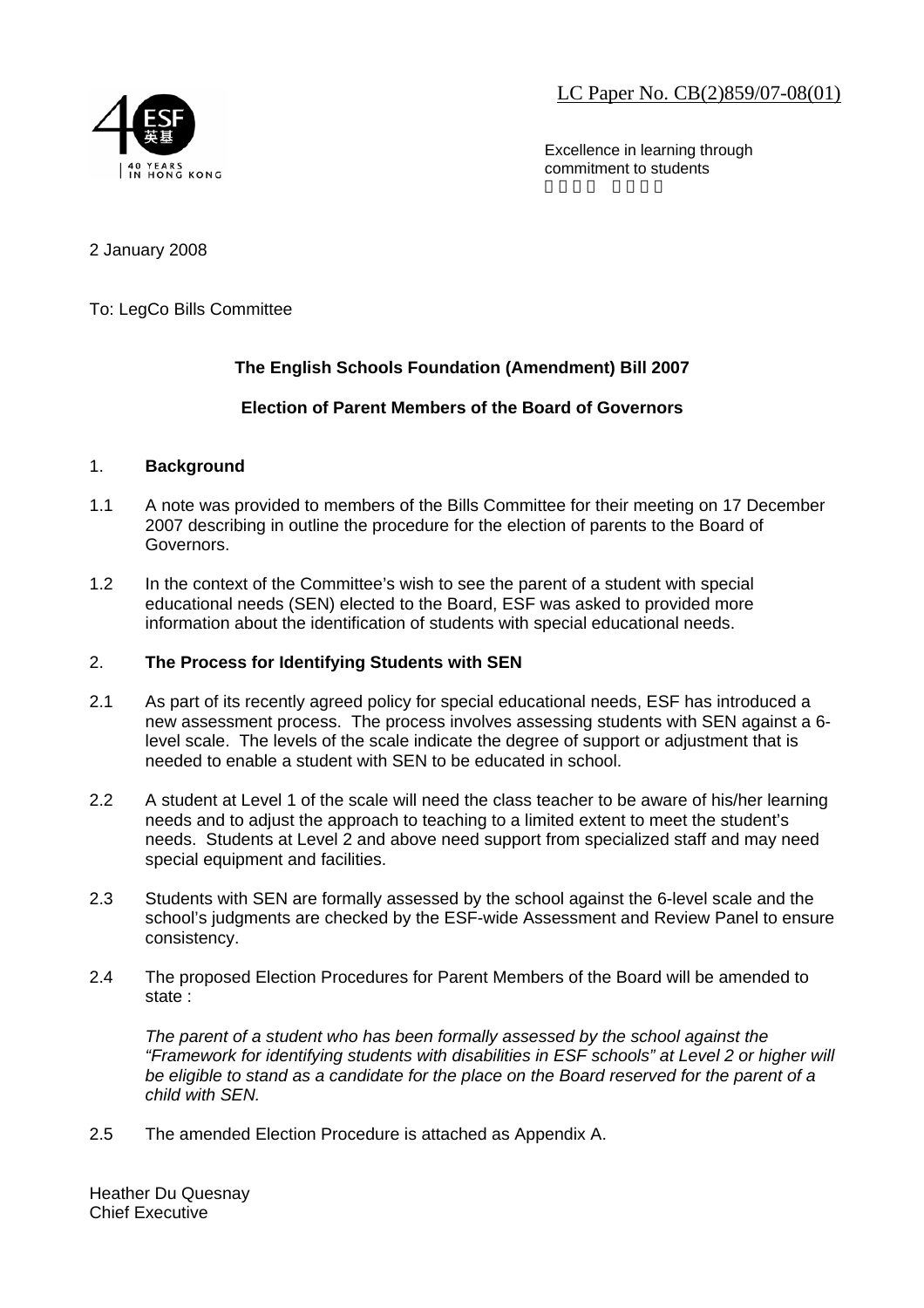LC Paper No. CB(2)859/07-08(01)



Excellence in learning through commitment to students

2 January 2008

To: LegCo Bills Committee

## **The English Schools Foundation (Amendment) Bill 2007**

## **Election of Parent Members of the Board of Governors**

## 1. **Background**

- 1.1 A note was provided to members of the Bills Committee for their meeting on 17 December 2007 describing in outline the procedure for the election of parents to the Board of Governors.
- 1.2 In the context of the Committee's wish to see the parent of a student with special educational needs (SEN) elected to the Board, ESF was asked to provided more information about the identification of students with special educational needs.

## 2. **The Process for Identifying Students with SEN**

- 2.1 As part of its recently agreed policy for special educational needs, ESF has introduced a new assessment process. The process involves assessing students with SEN against a 6 level scale. The levels of the scale indicate the degree of support or adjustment that is needed to enable a student with SEN to be educated in school.
- 2.2 A student at Level 1 of the scale will need the class teacher to be aware of his/her learning needs and to adjust the approach to teaching to a limited extent to meet the student's needs. Students at Level 2 and above need support from specialized staff and may need special equipment and facilities.
- 2.3 Students with SEN are formally assessed by the school against the 6-level scale and the school's judgments are checked by the ESF-wide Assessment and Review Panel to ensure consistency.
- 2.4 The proposed Election Procedures for Parent Members of the Board will be amended to state :

*The parent of a student who has been formally assessed by the school against the "Framework for identifying students with disabilities in ESF schools" at Level 2 or higher will be eligible to stand as a candidate for the place on the Board reserved for the parent of a child with SEN.*

2.5 The amended Election Procedure is attached as Appendix A.

Heather Du Quesnay Chief Executive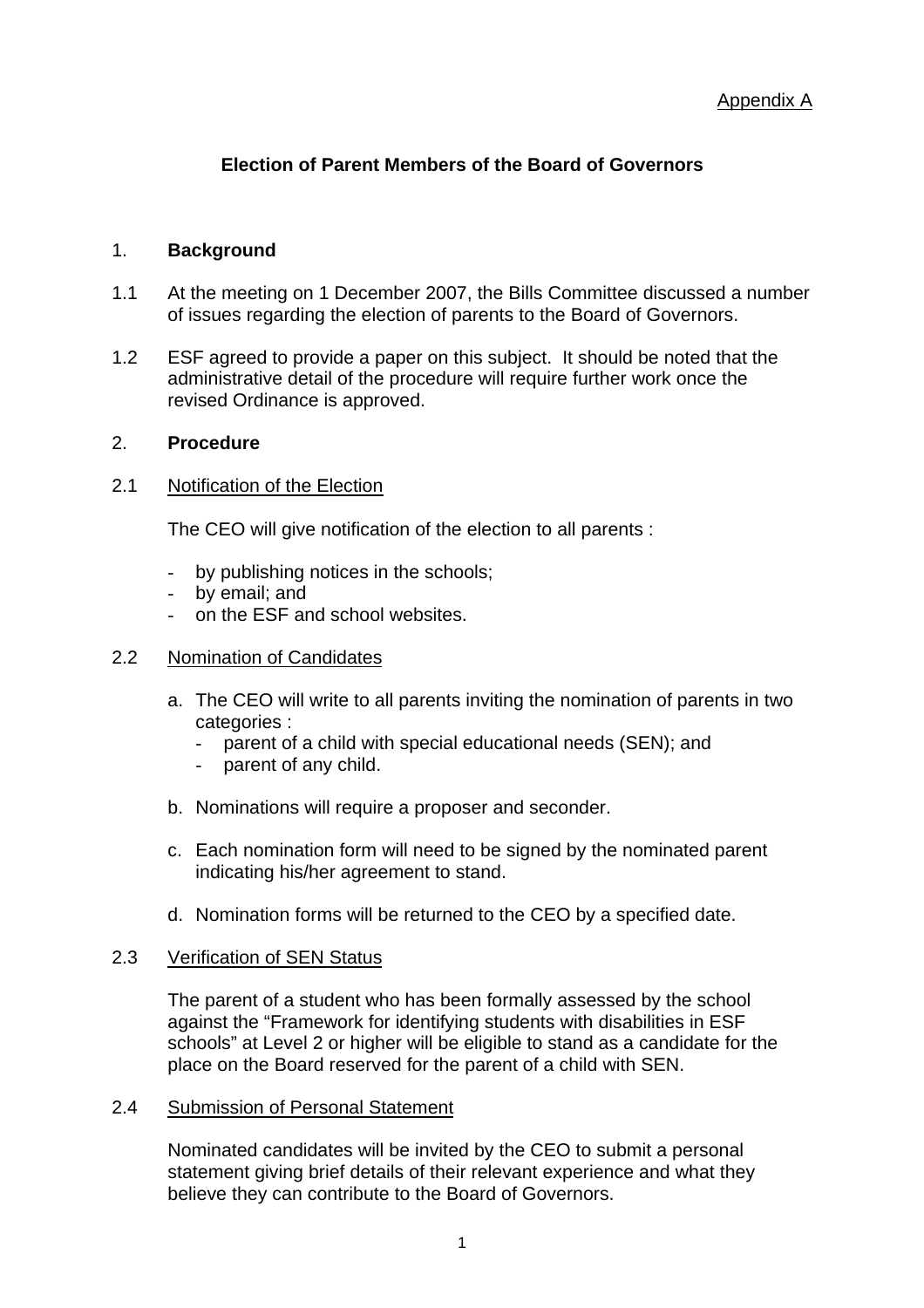# **Election of Parent Members of the Board of Governors**

## 1. **Background**

- 1.1 At the meeting on 1 December 2007, the Bills Committee discussed a number of issues regarding the election of parents to the Board of Governors.
- 1.2 ESF agreed to provide a paper on this subject. It should be noted that the administrative detail of the procedure will require further work once the revised Ordinance is approved.

## 2. **Procedure**

## 2.1 Notification of the Election

The CEO will give notification of the election to all parents :

- by publishing notices in the schools;
- by email: and
- on the ESF and school websites.

## 2.2 Nomination of Candidates

- a. The CEO will write to all parents inviting the nomination of parents in two categories :
	- parent of a child with special educational needs (SEN); and
	- parent of any child.
- b. Nominations will require a proposer and seconder.
- c. Each nomination form will need to be signed by the nominated parent indicating his/her agreement to stand.
- d. Nomination forms will be returned to the CEO by a specified date.

## 2.3 Verification of SEN Status

The parent of a student who has been formally assessed by the school against the "Framework for identifying students with disabilities in ESF schools" at Level 2 or higher will be eligible to stand as a candidate for the place on the Board reserved for the parent of a child with SEN.

## 2.4 Submission of Personal Statement

Nominated candidates will be invited by the CEO to submit a personal statement giving brief details of their relevant experience and what they believe they can contribute to the Board of Governors.